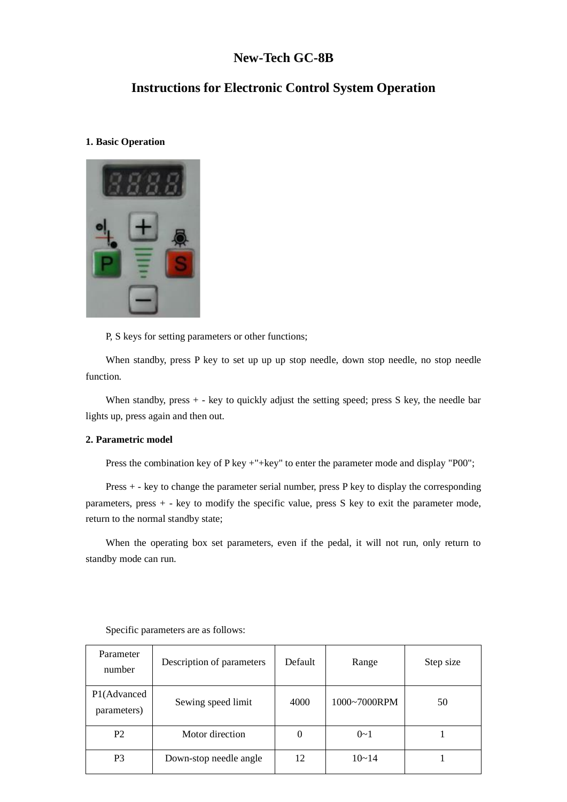# **New-Tech GC-8B**

# **Instructions for Electronic Control System Operation**

### **1. Basic Operation**



P, S keys for setting parameters or other functions;

When standby, press P key to set up up up stop needle, down stop needle, no stop needle function.

When standby, press + - key to quickly adjust the setting speed; press S key, the needle bar lights up, press again and then out.

### **2. Parametric model**

Press the combination key of P key +"+key" to enter the parameter mode and display "P00";

Press + - key to change the parameter serial number, press P key to display the corresponding parameters, press + - key to modify the specific value, press S key to exit the parameter mode, return to the normal standby state;

When the operating box set parameters, even if the pedal, it will not run, only return to standby mode can run.

| Parameter<br>number        | Description of parameters | Default  | Range        | Step size |
|----------------------------|---------------------------|----------|--------------|-----------|
| P1(Advanced<br>parameters) | Sewing speed limit        | 4000     | 1000~7000RPM | 50        |
| P <sub>2</sub>             | Motor direction           | $\theta$ | $0 - 1$      |           |
| P <sub>3</sub>             | Down-stop needle angle    | 12       | $10 - 14$    |           |

Specific parameters are as follows: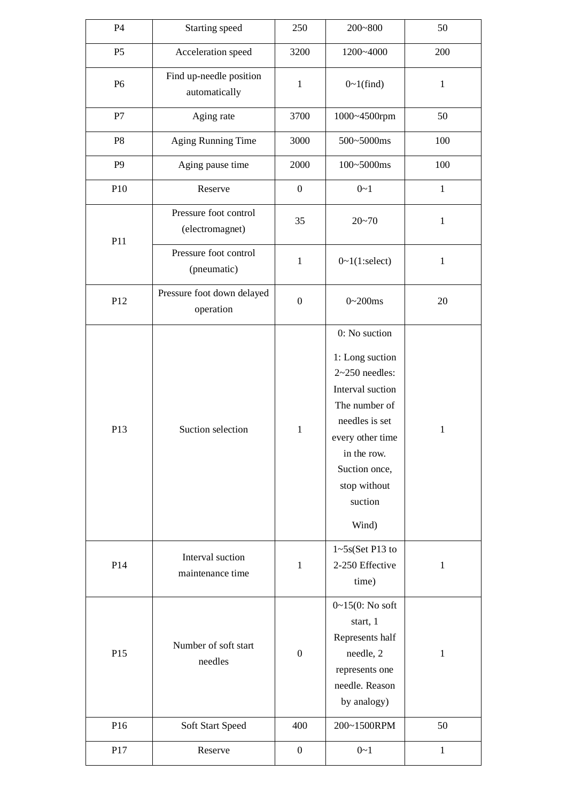| P4             | Starting speed                           | 250              | $200 - 800$                                                                                                                                                                                         | 50           |
|----------------|------------------------------------------|------------------|-----------------------------------------------------------------------------------------------------------------------------------------------------------------------------------------------------|--------------|
| P <sub>5</sub> | Acceleration speed                       | 3200             | 1200~4000                                                                                                                                                                                           | 200          |
| P <sub>6</sub> | Find up-needle position<br>automatically | $\mathbf{1}$     | $0~1$ (find)                                                                                                                                                                                        | $\mathbf{1}$ |
| P7             | Aging rate                               | 3700             | 1000~4500rpm                                                                                                                                                                                        | 50           |
| P <sub>8</sub> | <b>Aging Running Time</b>                | 3000             | 500~5000ms                                                                                                                                                                                          | 100          |
| P <sub>9</sub> | Aging pause time                         | 2000             | 100~5000ms                                                                                                                                                                                          | 100          |
| P10            | Reserve                                  | $\boldsymbol{0}$ | $0 - 1$                                                                                                                                                                                             | $\mathbf{1}$ |
| P11            | Pressure foot control<br>(electromagnet) | 35               | $20 - 70$                                                                                                                                                                                           | $\mathbf{1}$ |
|                | Pressure foot control<br>(pneumatic)     | $\mathbf{1}$     | 0~1(1;select)                                                                                                                                                                                       | $\mathbf 1$  |
| P12            | Pressure foot down delayed<br>operation  | $\boldsymbol{0}$ | $0 - 200$ ms                                                                                                                                                                                        | 20           |
| P13            | Suction selection                        | 1                | 0: No suction<br>1: Long suction<br>$2~250$ needles:<br>Interval suction<br>The number of<br>needles is set<br>every other time<br>in the row.<br>Suction once,<br>stop without<br>suction<br>Wind) | $\mathbf{1}$ |
| P14            | Interval suction<br>maintenance time     | $\mathbf{1}$     | $1 - 5s$ (Set P13 to<br>2-250 Effective<br>time)                                                                                                                                                    | $\mathbf 1$  |
| P15            | Number of soft start<br>needles          | $\boldsymbol{0}$ | $0 - 15(0: No)$ soft<br>start, 1<br>Represents half<br>needle, 2<br>represents one<br>needle. Reason<br>by analogy)                                                                                 | $\mathbf 1$  |
| P16            | Soft Start Speed                         | 400              | 200~1500RPM                                                                                                                                                                                         | 50           |
| P17            | Reserve                                  | $\boldsymbol{0}$ | $0 - 1$                                                                                                                                                                                             | $\mathbf{1}$ |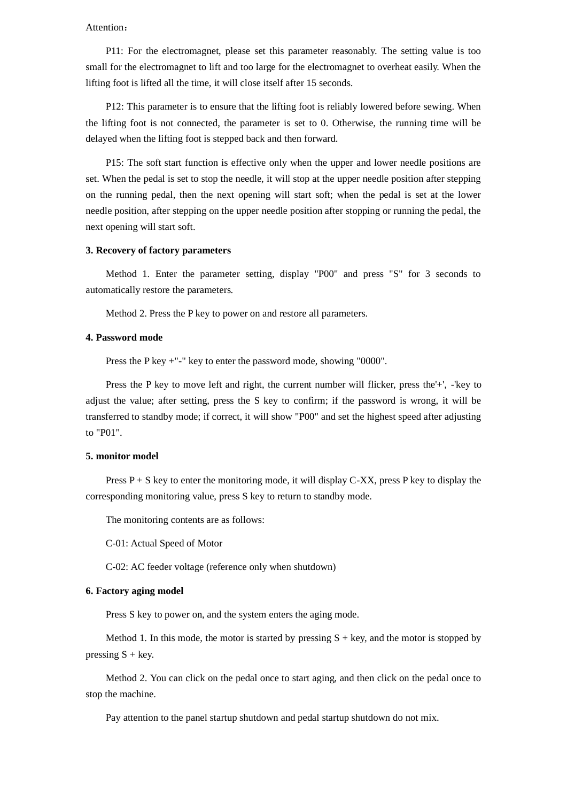#### Attention:

P11: For the electromagnet, please set this parameter reasonably. The setting value is too small for the electromagnet to lift and too large for the electromagnet to overheat easily. When the lifting foot is lifted all the time, it will close itself after 15 seconds.

P12: This parameter is to ensure that the lifting foot is reliably lowered before sewing. When the lifting foot is not connected, the parameter is set to 0. Otherwise, the running time will be delayed when the lifting foot is stepped back and then forward.

P15: The soft start function is effective only when the upper and lower needle positions are set. When the pedal is set to stop the needle, it will stop at the upper needle position after stepping on the running pedal, then the next opening will start soft; when the pedal is set at the lower needle position, after stepping on the upper needle position after stopping or running the pedal, the next opening will start soft.

#### **3. Recovery of factory parameters**

Method 1. Enter the parameter setting, display "P00" and press "S" for 3 seconds to automatically restore the parameters.

Method 2. Press the P key to power on and restore all parameters.

#### **4. Password mode**

Press the P key +"-" key to enter the password mode, showing "0000".

Press the P key to move left and right, the current number will flicker, press the'+', -'key to adjust the value; after setting, press the S key to confirm; if the password is wrong, it will be transferred to standby mode; if correct, it will show "P00" and set the highest speed after adjusting to "P01".

#### **5. monitor model**

Press  $P + S$  key to enter the monitoring mode, it will display C-XX, press P key to display the corresponding monitoring value, press S key to return to standby mode.

The monitoring contents are as follows:

C-01: Actual Speed of Motor

C-02: AC feeder voltage (reference only when shutdown)

#### **6. Factory aging model**

Press S key to power on, and the system enters the aging mode.

Method 1. In this mode, the motor is started by pressing  $S + \text{key}$ , and the motor is stopped by pressing  $S + \text{key}$ .

Method 2. You can click on the pedal once to start aging, and then click on the pedal once to stop the machine.

Pay attention to the panel startup shutdown and pedal startup shutdown do not mix.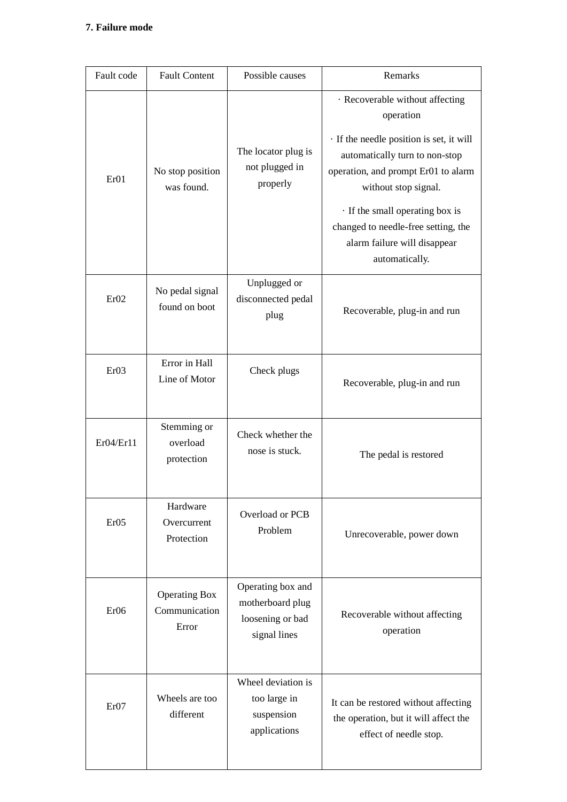# **7. Failure mode**

| Fault code       | <b>Fault Content</b>                           | Possible causes                                                           | Remarks                                                                                                                                                                                                                                                                                                               |
|------------------|------------------------------------------------|---------------------------------------------------------------------------|-----------------------------------------------------------------------------------------------------------------------------------------------------------------------------------------------------------------------------------------------------------------------------------------------------------------------|
| Er01             | No stop position<br>was found.                 | The locator plug is<br>not plugged in<br>properly                         | · Recoverable without affecting<br>operation<br>· If the needle position is set, it will<br>automatically turn to non-stop<br>operation, and prompt Er01 to alarm<br>without stop signal.<br>· If the small operating box is<br>changed to needle-free setting, the<br>alarm failure will disappear<br>automatically. |
| Er02             | No pedal signal<br>found on boot               | Unplugged or<br>disconnected pedal<br>plug                                | Recoverable, plug-in and run                                                                                                                                                                                                                                                                                          |
| Er03             | Error in Hall<br>Line of Motor                 | Check plugs                                                               | Recoverable, plug-in and run                                                                                                                                                                                                                                                                                          |
| Er04/Er11        | Stemming or<br>overload<br>protection          | Check whether the<br>nose is stuck.                                       | The pedal is restored                                                                                                                                                                                                                                                                                                 |
| Er05             | Hardware<br>Overcurrent<br>Protection          | Overload or PCB<br>Problem                                                | Unrecoverable, power down                                                                                                                                                                                                                                                                                             |
| Er06             | <b>Operating Box</b><br>Communication<br>Error | Operating box and<br>motherboard plug<br>loosening or bad<br>signal lines | Recoverable without affecting<br>operation                                                                                                                                                                                                                                                                            |
| Er <sub>07</sub> | Wheels are too<br>different                    | Wheel deviation is<br>too large in<br>suspension<br>applications          | It can be restored without affecting<br>the operation, but it will affect the<br>effect of needle stop.                                                                                                                                                                                                               |